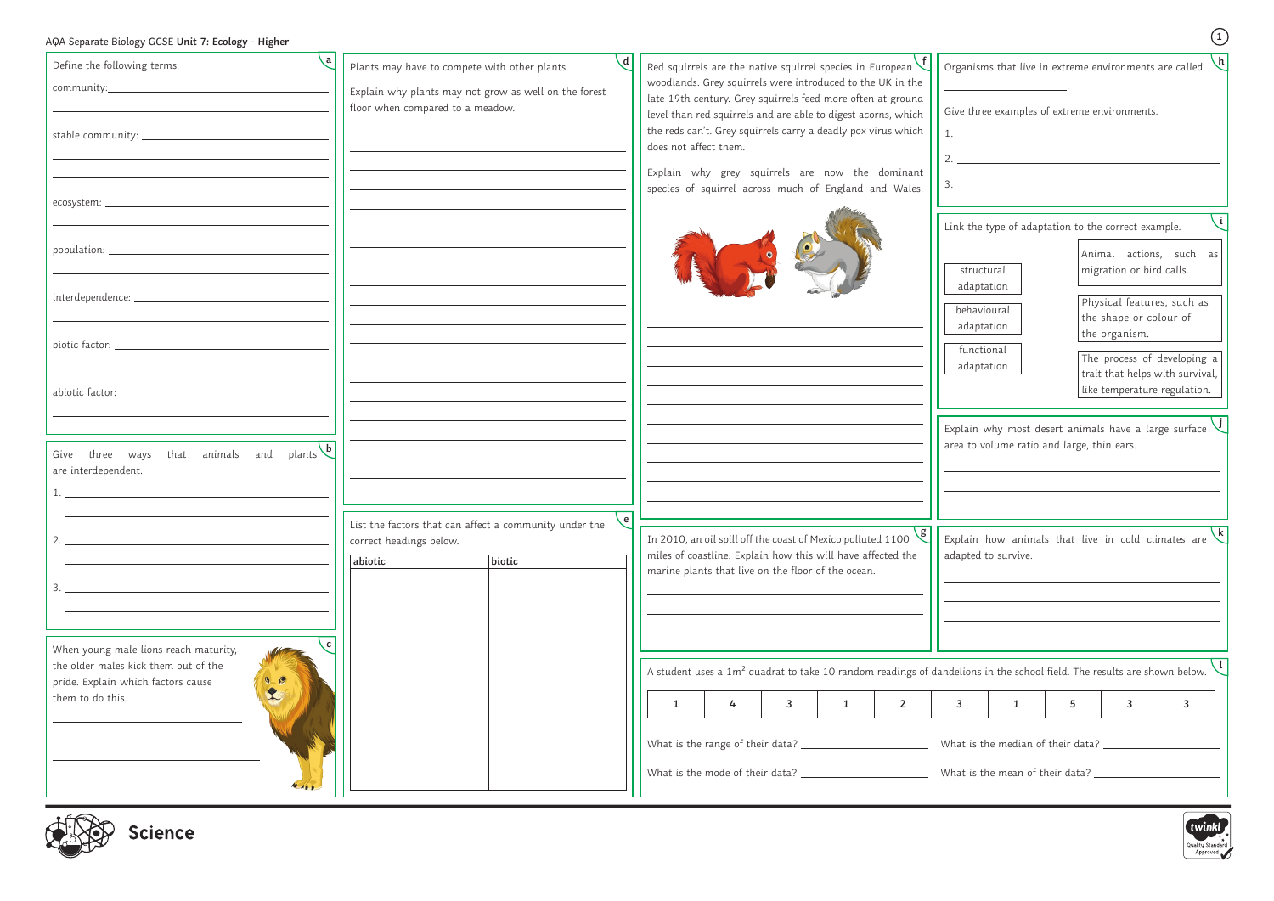| AQA Separate Biology GCSE Unit 7: Ecology - Higher |  |  |  |  |  |  |
|----------------------------------------------------|--|--|--|--|--|--|
|----------------------------------------------------|--|--|--|--|--|--|

| AQA Separate Biology GCSE Unit 7: Ecology - Higher                                     |                                                                                                                        |                                                                                                                                                                                               |                                                                                                                             |
|----------------------------------------------------------------------------------------|------------------------------------------------------------------------------------------------------------------------|-----------------------------------------------------------------------------------------------------------------------------------------------------------------------------------------------|-----------------------------------------------------------------------------------------------------------------------------|
| Define the following terms.                                                            | $\mathsf{d}$<br>Plants may have to compete with other plants.<br>Explain why plants may not grow as well on the forest | Red squirrels are the native squirrel species in European $\vee$<br>woodlands. Grey squirrels were introduced to the UK in the<br>late 19th century. Grey squirrels feed more often at ground | Organisms that live in extreme environments are called                                                                      |
|                                                                                        | floor when compared to a meadow.                                                                                       | level than red squirrels and are able to digest acorns, which<br>the reds can't. Grey squirrels carry a deadly pox virus which<br>does not affect them.                                       | Give three examples of extreme environments.<br>1.                                                                          |
|                                                                                        |                                                                                                                        | Explain why grey squirrels are now the dominant<br>species of squirrel across much of England and Wales.                                                                                      | 2. $\overline{\phantom{a}}$                                                                                                 |
|                                                                                        |                                                                                                                        |                                                                                                                                                                                               | Link the type of adaptation to the correct example.<br>Animal actions, such as                                              |
|                                                                                        |                                                                                                                        |                                                                                                                                                                                               | migration or bird calls.<br>structural<br>adaptation<br>Physical features, such as<br>behavioural<br>the shape or colour of |
|                                                                                        |                                                                                                                        |                                                                                                                                                                                               | adaptation<br>the organism.<br>functional<br>The process of developing a<br>adaptation<br>trait that helps with survival,   |
|                                                                                        |                                                                                                                        |                                                                                                                                                                                               | like temperature regulation.                                                                                                |
| that animals and plants $\overline{b}$<br>Give three ways<br>are interdependent.       |                                                                                                                        |                                                                                                                                                                                               | Explain why most desert animals have a large surface $\vee$<br>area to volume ratio and large, thin ears.                   |
|                                                                                        | ve l<br>List the factors that can affect a community under the                                                         |                                                                                                                                                                                               |                                                                                                                             |
|                                                                                        | correct headings below.<br>biotic<br>abiotic                                                                           | In 2010, an oil spill off the coast of Mexico polluted 1100<br>miles of coastline. Explain how this will have affected the<br>marine plants that live on the floor of the ocean.              | Explain how animals that live in cold climates are $\mathcal{K}$<br>adapted to survive.                                     |
|                                                                                        |                                                                                                                        |                                                                                                                                                                                               |                                                                                                                             |
| ا c ا<br>When young male lions reach maturity,<br>the older males kick them out of the |                                                                                                                        |                                                                                                                                                                                               | A student uses a $1m^2$ quadrat to take 10 random readings of dandelions in the school field. The results are shown below.  |
| $\frac{1}{2}$<br>pride. Explain which factors cause<br>them to do this.                |                                                                                                                        | 3<br>$\overline{2}$<br>1                                                                                                                                                                      | 5<br>3                                                                                                                      |
|                                                                                        |                                                                                                                        |                                                                                                                                                                                               |                                                                                                                             |
| <b>AD AD D</b>                                                                         |                                                                                                                        |                                                                                                                                                                                               |                                                                                                                             |



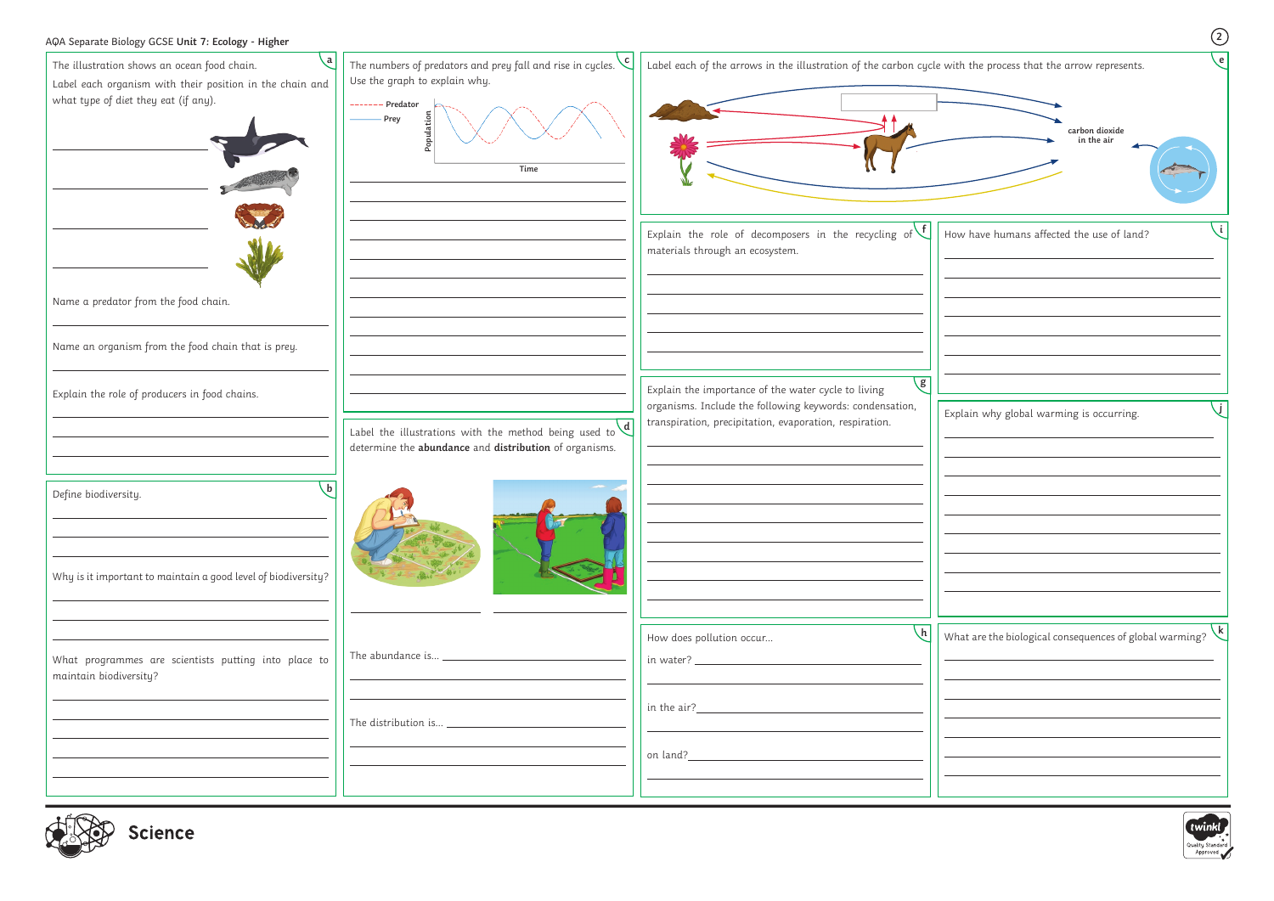| AQA Separate Biology GCSE Unit 7: Ecology - Higher                                                                                                          |                                                                                                                                                                            |                                                                                                                               | $\circled{2}$                                                                         |
|-------------------------------------------------------------------------------------------------------------------------------------------------------------|----------------------------------------------------------------------------------------------------------------------------------------------------------------------------|-------------------------------------------------------------------------------------------------------------------------------|---------------------------------------------------------------------------------------|
| <b>a</b><br>The illustration shows an ocean food chain.<br>Label each organism with their position in the chain and<br>what type of diet they eat (if any). | The numbers of predators and prey fall and rise in cycles. $\left\langle c\right\vert$<br>Use the graph to explain why.<br>------- Predator<br>- Prey<br>Populatio<br>Time | Label each of the arrows in the illustration of the carbon cycle with the process that the arrow represents.                  | $\epsilon$<br>carbon dioxide<br>in the air                                            |
|                                                                                                                                                             |                                                                                                                                                                            | Explain the role of decomposers in the recycling of $\vee$<br>materials through an ecosystem.                                 | How have humans affected the use of land?                                             |
| Name a predator from the food chain.                                                                                                                        |                                                                                                                                                                            |                                                                                                                               |                                                                                       |
| Name an organism from the food chain that is prey.                                                                                                          |                                                                                                                                                                            |                                                                                                                               |                                                                                       |
| Explain the role of producers in food chains.                                                                                                               |                                                                                                                                                                            | $\sqrt{g}$<br>Explain the importance of the water cycle to living<br>organisms. Include the following keywords: condensation, | Explain why global warming is occurring.                                              |
|                                                                                                                                                             | Label the illustrations with the method being used to $\frac{d}{d}$<br>determine the abundance and distribution of organisms.                                              | transpiration, precipitation, evaporation, respiration.                                                                       |                                                                                       |
| $\mathbf{b}$<br>Define biodiversity.                                                                                                                        |                                                                                                                                                                            |                                                                                                                               |                                                                                       |
| Why is it important to maintain a good level of biodiversity?                                                                                               |                                                                                                                                                                            |                                                                                                                               |                                                                                       |
| What programmes are scientists putting into place to<br>maintain biodiversity?                                                                              |                                                                                                                                                                            | How does pollution occur                                                                                                      | What are the biological consequences of global warming? $\left\langle k\right\rangle$ |
|                                                                                                                                                             |                                                                                                                                                                            | <u> 1989 - Johann Barbara, martxa eta politikar</u>                                                                           |                                                                                       |
|                                                                                                                                                             |                                                                                                                                                                            |                                                                                                                               |                                                                                       |
| dir Den coisses                                                                                                                                             |                                                                                                                                                                            |                                                                                                                               | twink                                                                                 |



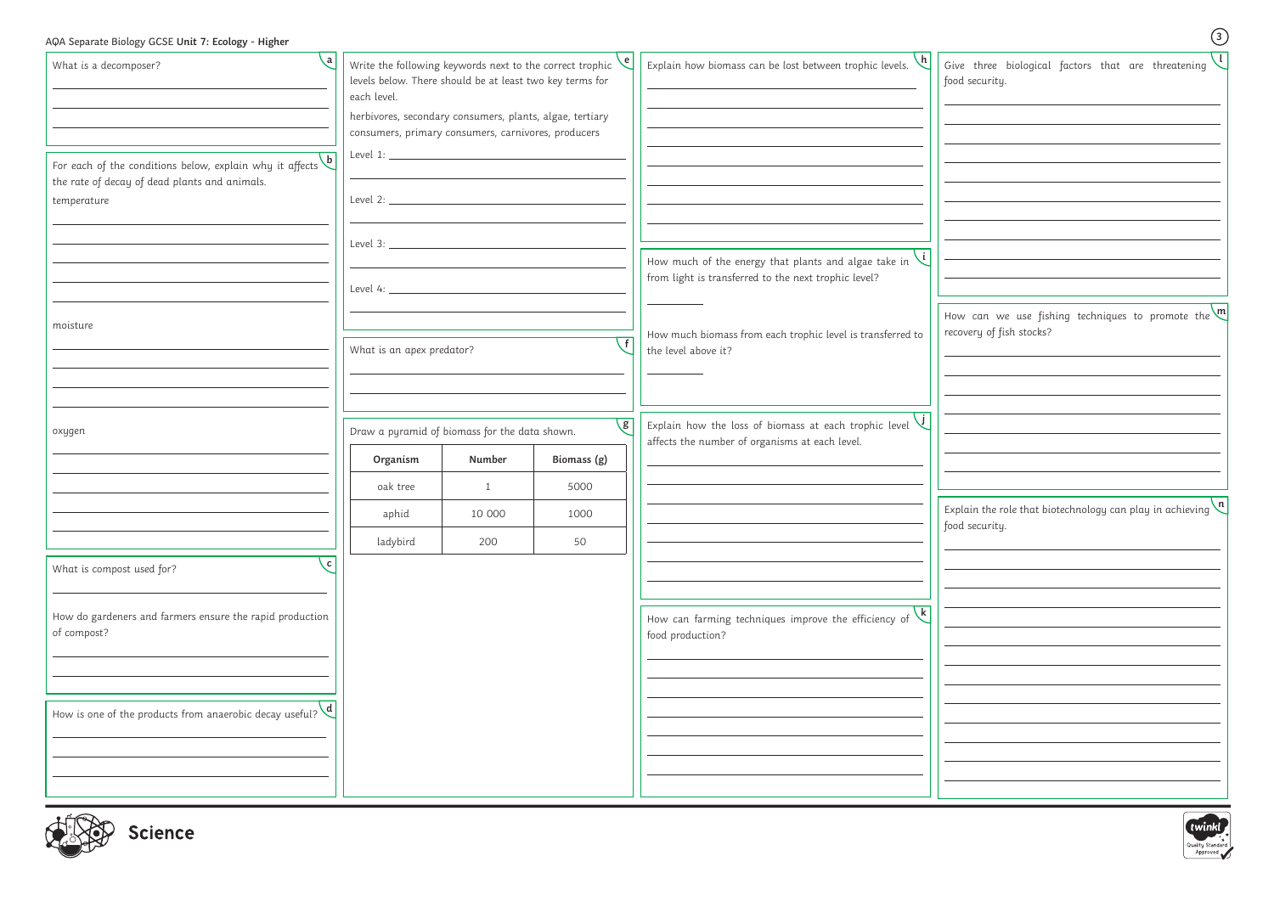| AQA Separate Biology GCSE Unit 7: Ecology - Higher                                                                                      |                                                                                                                                                                                                                                                                                               |                                                         |                                      |                                                                                                                          | $\odot$                                                                                     |
|-----------------------------------------------------------------------------------------------------------------------------------------|-----------------------------------------------------------------------------------------------------------------------------------------------------------------------------------------------------------------------------------------------------------------------------------------------|---------------------------------------------------------|--------------------------------------|--------------------------------------------------------------------------------------------------------------------------|---------------------------------------------------------------------------------------------|
| ∖a ∣<br>What is a decomposer?                                                                                                           | Write the following keywords next to the correct trophic $\left\langle \mathbf{e}\right\rangle$<br>levels below. There should be at least two key terms for<br>each level.<br>herbivores, secondary consumers, plants, algae, tertiary<br>consumers, primary consumers, carnivores, producers |                                                         |                                      | Explain how biomass can be lost between trophic levels. $\setminus$                                                      | Give three biological factors that are threatening $\sqrt{ }$<br>food security.             |
| For each of the conditions below, explain why it affects $\overline{b}$<br>the rate of decay of dead plants and animals.<br>temperature |                                                                                                                                                                                                                                                                                               |                                                         |                                      |                                                                                                                          |                                                                                             |
|                                                                                                                                         |                                                                                                                                                                                                                                                                                               |                                                         |                                      | How much of the energy that plants and algae take in $\setminus$<br>from light is transferred to the next trophic level? |                                                                                             |
| moisture                                                                                                                                | What is an apex predator?                                                                                                                                                                                                                                                                     |                                                         |                                      | How much biomass from each trophic level is transferred to<br>the level above it?                                        | How can we use fishing techniques to promote the $\binom{m}{m}$<br>recovery of fish stocks? |
|                                                                                                                                         |                                                                                                                                                                                                                                                                                               |                                                         |                                      |                                                                                                                          |                                                                                             |
| oxygen                                                                                                                                  | Organism<br>oak tree                                                                                                                                                                                                                                                                          | Draw a pyramid of biomass for the data shown.<br>Number | $\mathcal{g}$<br>Biomass (g)<br>5000 | Explain how the loss of biomass at each trophic level $\overline{U}$<br>affects the number of organisms at each level.   |                                                                                             |
|                                                                                                                                         | aphid<br>ladybird                                                                                                                                                                                                                                                                             | 1<br>10 000<br>200                                      | 1000<br>50                           |                                                                                                                          | Explain the role that biotechnology can play in achieving $\binom{n}{k}$<br>food security.  |
| c <br>What is compost used for?                                                                                                         |                                                                                                                                                                                                                                                                                               |                                                         |                                      |                                                                                                                          |                                                                                             |
| How do gardeners and farmers ensure the rapid production<br>of compost?                                                                 |                                                                                                                                                                                                                                                                                               |                                                         |                                      | How can farming techniques improve the efficiency of $\sqrt{k}$<br>food production?                                      |                                                                                             |
| How is one of the products from anaerobic decay useful? $\left\langle d \right $                                                        |                                                                                                                                                                                                                                                                                               |                                                         |                                      |                                                                                                                          |                                                                                             |
| $L^2(\mathbb{R})$                                                                                                                       |                                                                                                                                                                                                                                                                                               |                                                         |                                      |                                                                                                                          |                                                                                             |



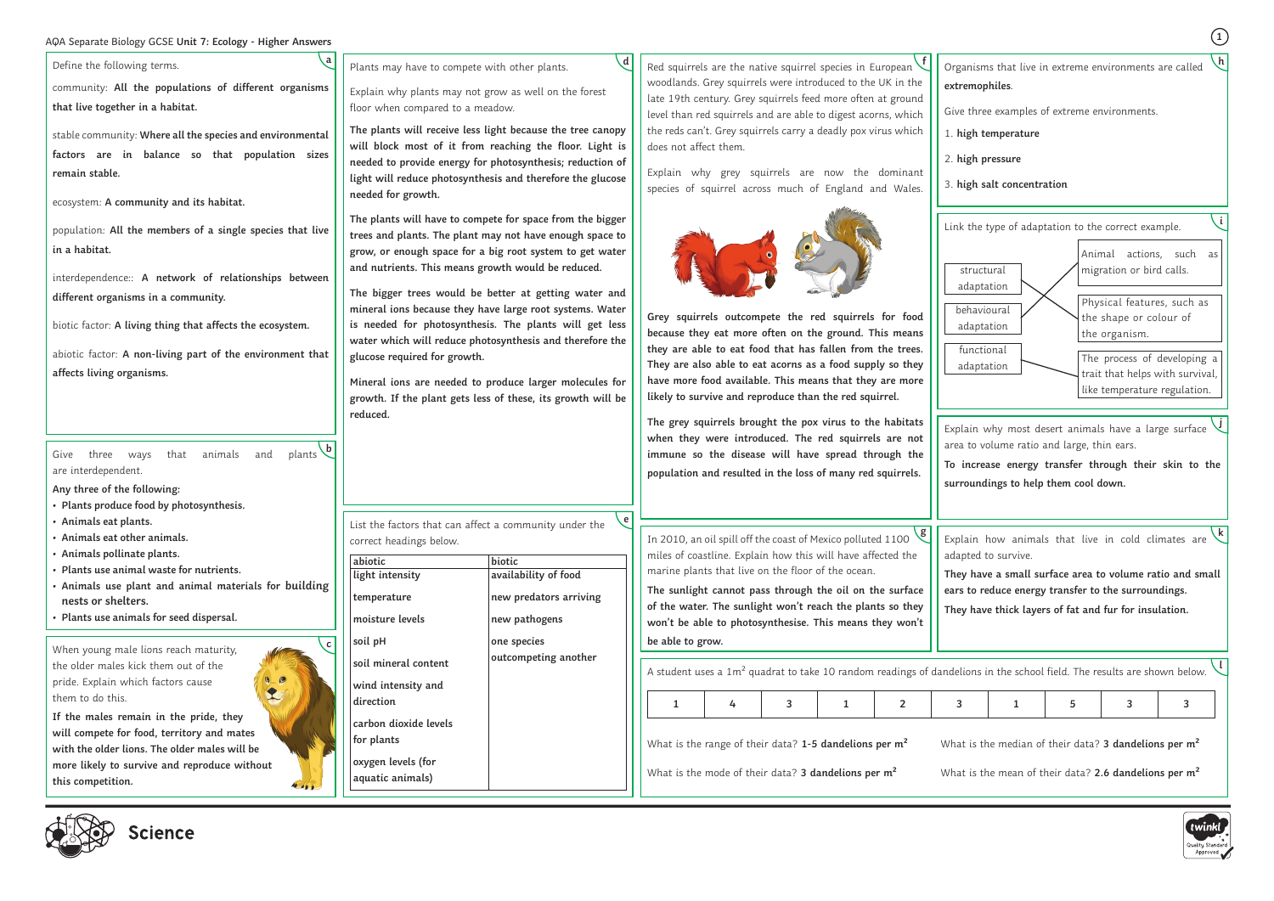# **<sup>1</sup>** AQA Separate Biology GCSE **Unit 7: Ecology - Higher Answers**

Define the following terms.

community: **All the populations of different organisms that live together in a habitat.**

stable community: **Where all the species and environmental factors are in balance so that population sizes remain stable.**

ecosystem: **A community and its habitat.**

population: **All the members of a single species that live in a habitat.**

interdependence:: **A network of relationships between different organisms in a community.**

biotic factor: **A living thing that affects the ecosystem.**

abiotic factor: **A non-living part of the environment that affects living organisms.**

Give three ways that animals and are interdependent. plants **b** 

When young male lions reach maturity, the older males kick them out of the pride. Explain which factors cause them to do this.

**If the males remain in the pride, they will compete for food, territory and mates with the older lions. The older males will be more likely to survive and reproduce without this competition.**



- **Any three of the following:**
- **• Plants produce food by photosynthesis.**
- **• Animals eat plants.**
- **• Animals eat other animals.**
- **• Animals pollinate plants.**
- **• Plants use animal waste for nutrients.**
- **• Animals use plant and animal materials for building nests or shelters.**
- **• Plants use animals for seed dispersal.**

**a**

**c**

Plants may have to compete with other plants.

Explain why plants may not grow as well on the forest floor when compared to a meadow.

**The plants will receive less light because the tree canopy will block most of it from reaching the floor. Light is needed to provide energy for photosynthesis; reduction of light will reduce photosynthesis and therefore the glucose needed for growth.**

**The plants will have to compete for space from the bigger trees and plants. The plant may not have enough space to grow, or enough space for a big root system to get water and nutrients. This means growth would be reduced.**

**The bigger trees would be better at getting water and mineral ions because they have large root systems. Water is needed for photosynthesis. The plants will get less water which will reduce photosynthesis and therefore the glucose required for growth.**

**Mineral ions are needed to produce larger molecules for growth. If the plant gets less of these, its growth will be reduced.**

> plain how animals that live in cold climates are apted to survive. **k**

> lions in the school field. The results are shown below. **l**

is the median of their data? **3 dandelions per m<sup>2</sup>** 

is the mean of their data? 2.6 dandelions per m<sup>2</sup>



Explain why grey squirrels are now the dominant species of squirrel across much of England and Wales.



**Grey squirrels outcompete the red squirrels for food because they eat more often on the ground. This means they are able to eat food that has fallen from the trees. They are also able to eat acorns as a food supply so they have more food available. This means that they are more likely to survive and reproduce than the red squirrel.**

Red squirrels are the native squirrel species in European woodlands. Grey squirrels were introduced to the UK in the late 19th century. Grey squirrels feed more often at ground level than red squirrels and are able to digest acorns, which the reds can't. Grey squirrels carry a deadly pox virus which does not affect them. **f**

**The grey squirrels brought the pox virus to the habitats when they were introduced. The red squirrels are not immune so the disease will have spread through the population and resulted in the loss of many red squirrels.**

**d**

List the factors that can affect a community under the correct headings below. **e**

| abiotic                                | biotic                 |
|----------------------------------------|------------------------|
| light intensity                        | availability of food   |
| temperature                            | new predators arriving |
| moisture levels                        | new pathogens          |
| soil pH                                | one species            |
| soil mineral content                   | outcompeting another   |
| wind intensity and                     |                        |
| direction                              |                        |
| carbon dioxide levels<br>for plants    |                        |
| oxygen levels (for<br>aquatic animals) |                        |

Give three examples of extreme environments.

- 1. **high temperature**
- 2. **high pressure**
- 3. **high salt concentration**

| g<br>In 2010, an oil spill off the coast of Mexico polluted 1100<br>miles of coastline. Explain how this will have affected the<br>marine plants that live on the floor of the ocean. |  |  |  |  |
|---------------------------------------------------------------------------------------------------------------------------------------------------------------------------------------|--|--|--|--|
| The sunlight cannot pass through the oil on the surface<br>of the water. The sunlight won't reach the plants so they<br>won't be able to photosynthesise. This means they won't       |  |  |  |  |
| be able to grow.                                                                                                                                                                      |  |  |  |  |
|                                                                                                                                                                                       |  |  |  |  |
| A student uses a 1m <sup>2</sup> quadrat to take 10 random readings of dande                                                                                                          |  |  |  |  |

Organisms that live in extreme environments are called **extremophiles**. **h**

**To increase energy transfer through their skin to the surroundings to help them cool down.**



**They have a small surface area to volume ratio and small ears to reduce energy transfer to the surroundings.**

Explain why most desert animals have a large surface area to volume ratio and large, thin ears. **j**

**They have thick layers of fat and fur for insulation.**

| $\sim$ conditional and dependence to the set of dimensional conditional the condition interest. The received divident section of $\sim$ |                                                      |  |  |  |  |                                                      |  |  |                          |
|-----------------------------------------------------------------------------------------------------------------------------------------|------------------------------------------------------|--|--|--|--|------------------------------------------------------|--|--|--------------------------|
|                                                                                                                                         |                                                      |  |  |  |  |                                                      |  |  | $\overline{\phantom{a}}$ |
| What is the range of their data? $1-5$ dandelions per m <sup>2</sup>                                                                    | What is the median of their data? 3 dandelions per r |  |  |  |  |                                                      |  |  |                          |
| What is the mode of their data? 3 dandelions per m <sup>2</sup>                                                                         |                                                      |  |  |  |  | What is the mean of their data? 2.6 dandelions per r |  |  |                          |

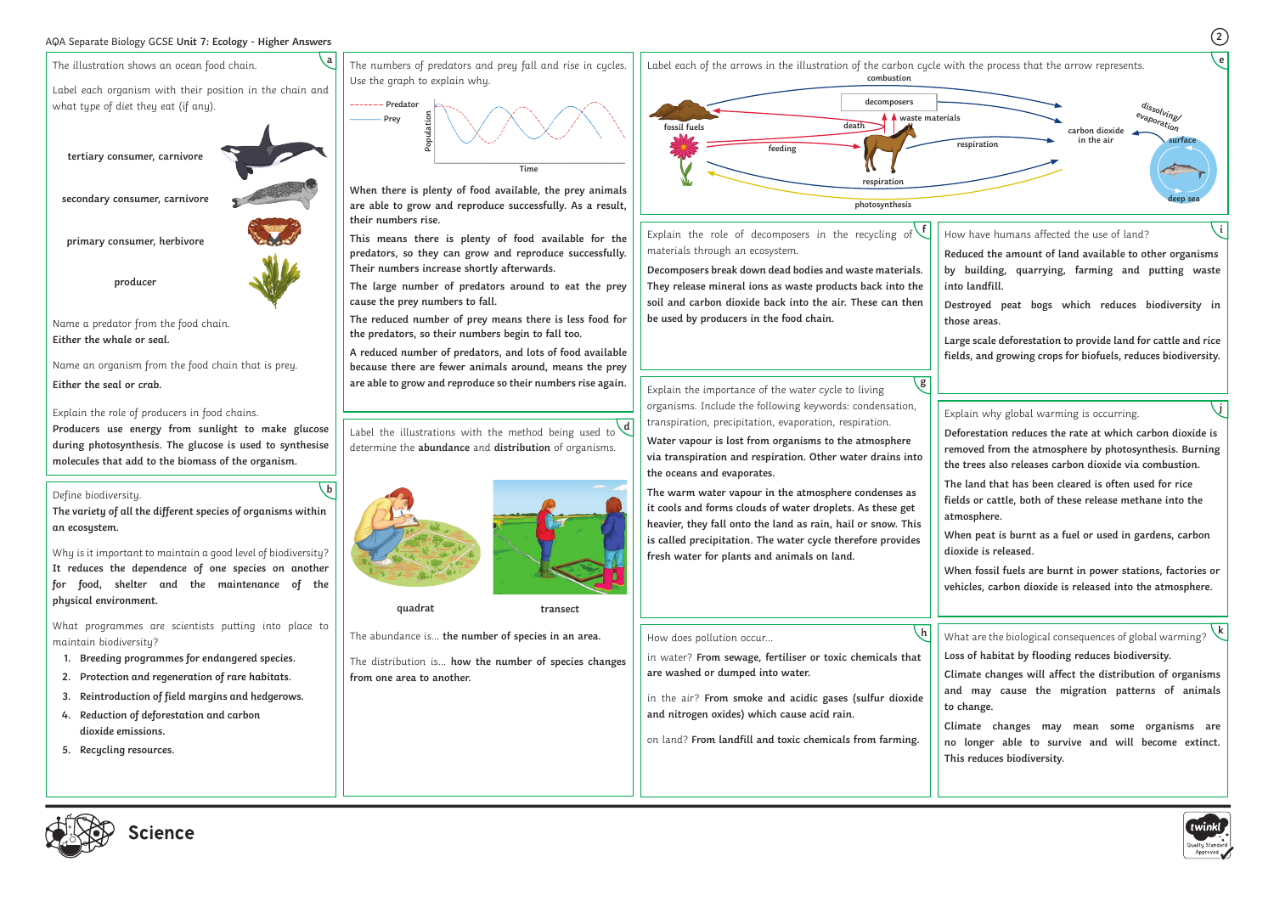# **<sup>2</sup>** AQA Separate Biology GCSE **Unit 7: Ecology - Higher Answers**

in water? **From sewage, fertiliser or toxic chemicals that**  in the air? **From smoke and acidic gases (sulfur dioxide and nitrogen oxides) which cause acid rain.** on land? **From landfill and toxic chemicals from farming.**  What are the biological consequences of global warming? **k Loss of habitat by flooding reduces biodiversity. Climate changes will affect the distribution of organisms and may cause the migration patterns of animals to change. Climate changes may mean some organisms are no longer able to survive and will become extinct. This reduces biodiversity.**  $\lfloor h \rfloor$ 



How does pollution occur…

**are washed or dumped into water.**

**Water vapour is lost from organisms to the atmosphere via transpiration and respiration. Other water drains into the oceans and evaporates.**

**The warm water vapour in the atmosphere condenses as it cools and forms clouds of water droplets. As these get heavier, they fall onto the land as rain, hail or snow. This is called precipitation. The water cycle therefore provides fresh water for plants and animals on land.** 

Explain why global warming is occurring.

**Deforestation reduces the rate at which carbon dioxide is removed from the atmosphere by photosynthesis. Burning the trees also releases carbon dioxide via combustion.**

**The land that has been cleared is often used for rice fields or cattle, both of these release methane into the atmosphere.**

**When peat is burnt as a fuel or used in gardens, carbon dioxide is released.**

**When fossil fuels are burnt in power stations, factories or vehicles, carbon dioxide is released into the atmosphere.**



Explain the role of decomposers in the recycling of **f** materials through an ecosystem.

Explain the importance of the water cycle to living organisms. Include the following keywords: condensation, transpiration, precipitation, evaporation, respiration. **g**

**Decomposers break down dead bodies and waste materials. They release mineral ions as waste products back into the soil and carbon dioxide back into the air. These can then be used by producers in the food chain.**

How have humans affected the use of land?

**Reduced the amount of land available to other organisms by building, quarrying, farming and putting waste into landfill.**

**Destroyed peat bogs which reduces biodiversity in those areas.**

**Large scale deforestation to provide land for cattle and rice fields, and growing crops for biofuels, reduces biodiversity.**

Name an organism from the food chain that is prey. **Either the seal or crab.**

Explain the role of producers in food chains.

**Producers use energy from sunlight to make glucose during photosynthesis. The glucose is used to synthesise molecules that add to the biomass of the organism.**



**b**

**i**

 $\overline{ij}$ 

determine the **abundance** and **distribution** of organisms.



The abundance is… **the number of species in an area.**

The distribution is… **how the number of species changes from one area to another.**



**quadrat transect**

The numbers of predators and prey fall and rise in cycles. Use the graph to explain why.

**When there is plenty of food available, the prey animals are able to grow and reproduce successfully. As a result, their numbers rise.** 

**This means there is plenty of food available for the predators, so they can grow and reproduce successfully. Their numbers increase shortly afterwards.**

**The large number of predators around to eat the prey cause the prey numbers to fall.**

**The reduced number of prey means there is less food for the predators, so their numbers begin to fall too.** 

**A reduced number of predators, and lots of food available because there are fewer animals around, means the prey are able to grow and reproduce so their numbers rise again.**

Label the illustrations with the method being used to d



# Define biodiversity.

**The variety of all the different species of organisms within an ecosystem.**

Why is it important to maintain a good level of biodiversity? **It reduces the dependence of one species on another for food, shelter and the maintenance of the physical environment.**

What programmes are scientists putting into place to maintain biodiversity?

- **1. Breeding programmes for endangered species.**
- **2. Protection and regeneration of rare habitats.**
- **3. Reintroduction of field margins and hedgerows.**
- **4. Reduction of deforestation and carbon dioxide emissions.**
- **5. Recycling resources.**